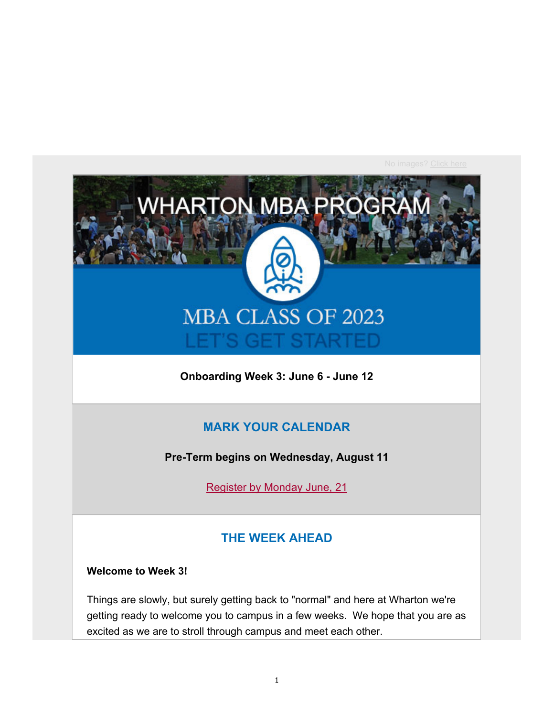

**Onboarding Week 3: June 6 - June 12**

#### **MARK YOUR CALENDAR**

**Pre-Term begins on Wednesday, August 11**

Register by Monday June, 21

#### **THE WEEK AHEAD**

#### **Welcome to Week 3!**

Things are slowly, but surely getting back to "normal" and here at Wharton we're getting ready to welcome you to campus in a few weeks. We hope that you are as excited as we are to stroll through campus and meet each other.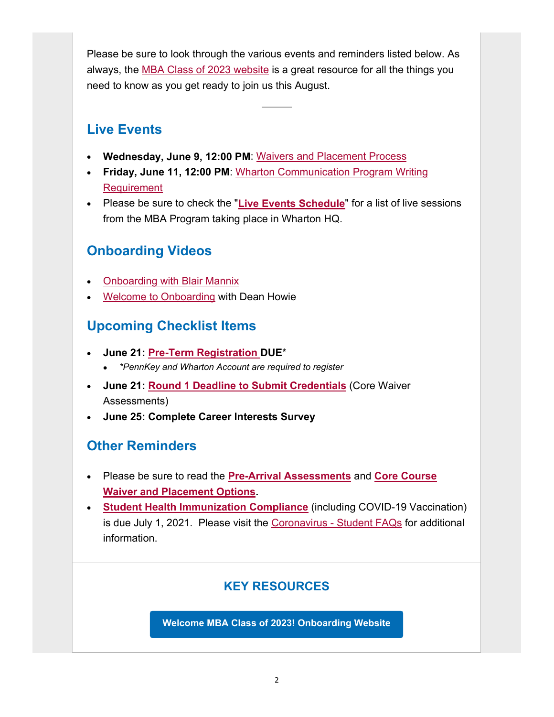Please be sure to look through the various events and reminders listed below. As always, the MBA Class of 2023 website is a great resource for all the things you need to know as you get ready to join us this August.

## **Live Events**

- **Wednesday, June 9, 12:00 PM**: Waivers and Placement Process
- **Friday, June 11, 12:00 PM**: Wharton Communication Program Writing Requirement
- Please be sure to check the "**Live Events Schedule**" for a list of live sessions from the MBA Program taking place in Wharton HQ.

# **Onboarding Videos**

- Onboarding with Blair Mannix
- Welcome to Onboarding with Dean Howie

# **Upcoming Checklist Items**

- **June 21: Pre-Term Registration DUE**\*
	- *\*PennKey and Wharton Account are required to register*
- **June 21: Round 1 Deadline to Submit Credentials** (Core Waiver Assessments)
- **June 25: Complete Career Interests Survey**

# **Other Reminders**

- Please be sure to read the **Pre-Arrival Assessments** and **Core Course Waiver and Placement Options.**
- **Student Health Immunization Compliance** (including COVID-19 Vaccination) is due July 1, 2021. Please visit the Coronavirus - Student FAQs for additional information.

### **KEY RESOURCES**

**Welcome MBA Class of 2023! Onboarding Website**